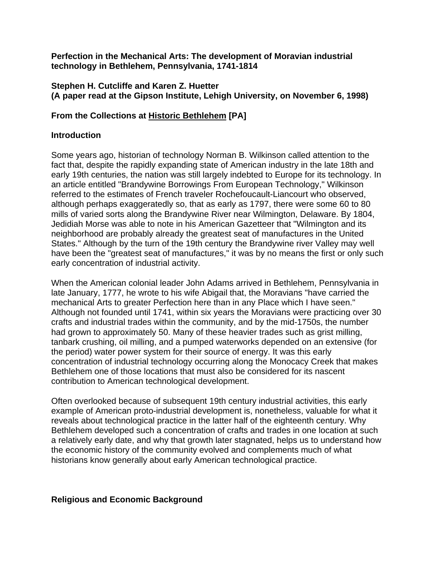**Perfection in the Mechanical Arts: The development of Moravian industrial technology in Bethlehem, Pennsylvania, 1741-1814** 

#### **Stephen H. Cutcliffe and Karen Z. Huetter (A paper read at the Gipson Institute, Lehigh University, on November 6, 1998)**

### **From the Collections at [Historic Bethlehem](http://www.historicbethlehem.org/) [PA]**

### **Introduction**

Some years ago, historian of technology Norman B. Wilkinson called attention to the fact that, despite the rapidly expanding state of American industry in the late 18th and early 19th centuries, the nation was still largely indebted to Europe for its technology. In an article entitled "Brandywine Borrowings From European Technology," Wilkinson referred to the estimates of French traveler Rochefoucault-Liancourt who observed, although perhaps exaggeratedly so, that as early as 1797, there were some 60 to 80 mills of varied sorts along the Brandywine River near Wilmington, Delaware. By 1804, Jedidiah Morse was able to note in his American Gazetteer that "Wilmington and its neighborhood are probably already the greatest seat of manufactures in the United States." Although by the turn of the 19th century the Brandywine river Valley may well have been the "greatest seat of manufactures," it was by no means the first or only such early concentration of industrial activity.

When the American colonial leader John Adams arrived in Bethlehem, Pennsylvania in late January, 1777, he wrote to his wife Abigail that, the Moravians "have carried the mechanical Arts to greater Perfection here than in any Place which I have seen." Although not founded until 1741, within six years the Moravians were practicing over 30 crafts and industrial trades within the community, and by the mid-1750s, the number had grown to approximately 50. Many of these heavier trades such as grist milling, tanbark crushing, oil milling, and a pumped waterworks depended on an extensive (for the period) water power system for their source of energy. It was this early concentration of industrial technology occurring along the Monocacy Creek that makes Bethlehem one of those locations that must also be considered for its nascent contribution to American technological development.

Often overlooked because of subsequent 19th century industrial activities, this early example of American proto-industrial development is, nonetheless, valuable for what it reveals about technological practice in the latter half of the eighteenth century. Why Bethlehem developed such a concentration of crafts and trades in one location at such a relatively early date, and why that growth later stagnated, helps us to understand how the economic history of the community evolved and complements much of what historians know generally about early American technological practice.

### **Religious and Economic Background**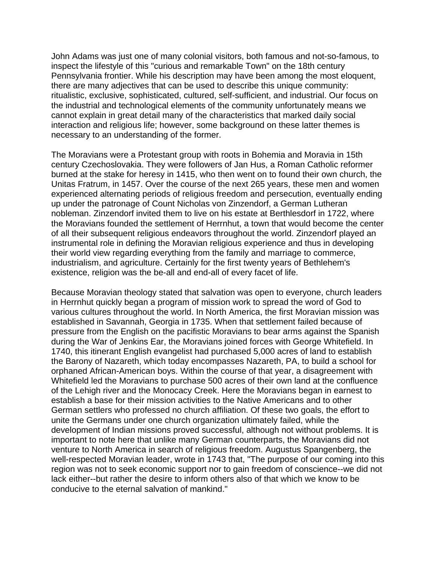John Adams was just one of many colonial visitors, both famous and not-so-famous, to inspect the lifestyle of this "curious and remarkable Town" on the 18th century Pennsylvania frontier. While his description may have been among the most eloquent, there are many adjectives that can be used to describe this unique community: ritualistic, exclusive, sophisticated, cultured, self-sufficient, and industrial. Our focus on the industrial and technological elements of the community unfortunately means we cannot explain in great detail many of the characteristics that marked daily social interaction and religious life; however, some background on these latter themes is necessary to an understanding of the former.

The Moravians were a Protestant group with roots in Bohemia and Moravia in 15th century Czechoslovakia. They were followers of Jan Hus, a Roman Catholic reformer burned at the stake for heresy in 1415, who then went on to found their own church, the Unitas Fratrum, in 1457. Over the course of the next 265 years, these men and women experienced alternating periods of religious freedom and persecution, eventually ending up under the patronage of Count Nicholas von Zinzendorf, a German Lutheran nobleman. Zinzendorf invited them to live on his estate at Berthlesdorf in 1722, where the Moravians founded the settlement of Herrnhut, a town that would become the center of all their subsequent religious endeavors throughout the world. Zinzendorf played an instrumental role in defining the Moravian religious experience and thus in developing their world view regarding everything from the family and marriage to commerce, industrialism, and agriculture. Certainly for the first twenty years of Bethlehem's existence, religion was the be-all and end-all of every facet of life.

Because Moravian theology stated that salvation was open to everyone, church leaders in Herrnhut quickly began a program of mission work to spread the word of God to various cultures throughout the world. In North America, the first Moravian mission was established in Savannah, Georgia in 1735. When that settlement failed because of pressure from the English on the pacifistic Moravians to bear arms against the Spanish during the War of Jenkins Ear, the Moravians joined forces with George Whitefield. In 1740, this itinerant English evangelist had purchased 5,000 acres of land to establish the Barony of Nazareth, which today encompasses Nazareth, PA, to build a school for orphaned African-American boys. Within the course of that year, a disagreement with Whitefield led the Moravians to purchase 500 acres of their own land at the confluence of the Lehigh river and the Monocacy Creek. Here the Moravians began in earnest to establish a base for their mission activities to the Native Americans and to other German settlers who professed no church affiliation. Of these two goals, the effort to unite the Germans under one church organization ultimately failed, while the development of Indian missions proved successful, although not without problems. It is important to note here that unlike many German counterparts, the Moravians did not venture to North America in search of religious freedom. Augustus Spangenberg, the well-respected Moravian leader, wrote in 1743 that, "The purpose of our coming into this region was not to seek economic support nor to gain freedom of conscience--we did not lack either--but rather the desire to inform others also of that which we know to be conducive to the eternal salvation of mankind."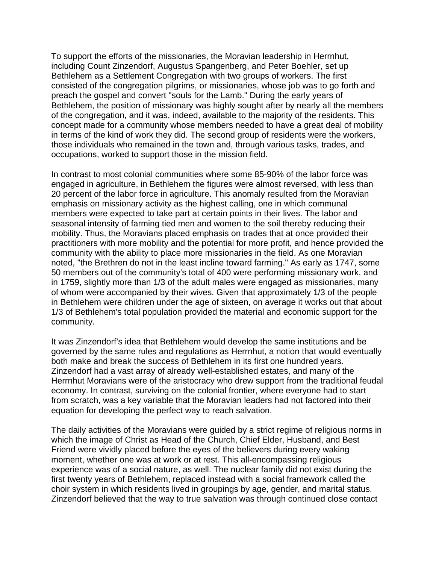To support the efforts of the missionaries, the Moravian leadership in Herrnhut, including Count Zinzendorf, Augustus Spangenberg, and Peter Boehler, set up Bethlehem as a Settlement Congregation with two groups of workers. The first consisted of the congregation pilgrims, or missionaries, whose job was to go forth and preach the gospel and convert "souls for the Lamb." During the early years of Bethlehem, the position of missionary was highly sought after by nearly all the members of the congregation, and it was, indeed, available to the majority of the residents. This concept made for a community whose members needed to have a great deal of mobility in terms of the kind of work they did. The second group of residents were the workers, those individuals who remained in the town and, through various tasks, trades, and occupations, worked to support those in the mission field.

In contrast to most colonial communities where some 85-90% of the labor force was engaged in agriculture, in Bethlehem the figures were almost reversed, with less than 20 percent of the labor force in agriculture. This anomaly resulted from the Moravian emphasis on missionary activity as the highest calling, one in which communal members were expected to take part at certain points in their lives. The labor and seasonal intensity of farming tied men and women to the soil thereby reducing their mobility. Thus, the Moravians placed emphasis on trades that at once provided their practitioners with more mobility and the potential for more profit, and hence provided the community with the ability to place more missionaries in the field. As one Moravian noted, "the Brethren do not in the least incline toward farming." As early as 1747, some 50 members out of the community's total of 400 were performing missionary work, and in 1759, slightly more than 1/3 of the adult males were engaged as missionaries, many of whom were accompanied by their wives. Given that approximately 1/3 of the people in Bethlehem were children under the age of sixteen, on average it works out that about 1/3 of Bethlehem's total population provided the material and economic support for the community.

It was Zinzendorf's idea that Bethlehem would develop the same institutions and be governed by the same rules and regulations as Herrnhut, a notion that would eventually both make and break the success of Bethlehem in its first one hundred years. Zinzendorf had a vast array of already well-established estates, and many of the Herrnhut Moravians were of the aristocracy who drew support from the traditional feudal economy. In contrast, surviving on the colonial frontier, where everyone had to start from scratch, was a key variable that the Moravian leaders had not factored into their equation for developing the perfect way to reach salvation.

The daily activities of the Moravians were guided by a strict regime of religious norms in which the image of Christ as Head of the Church, Chief Elder, Husband, and Best Friend were vividly placed before the eyes of the believers during every waking moment, whether one was at work or at rest. This all-encompassing religious experience was of a social nature, as well. The nuclear family did not exist during the first twenty years of Bethlehem, replaced instead with a social framework called the choir system in which residents lived in groupings by age, gender, and marital status. Zinzendorf believed that the way to true salvation was through continued close contact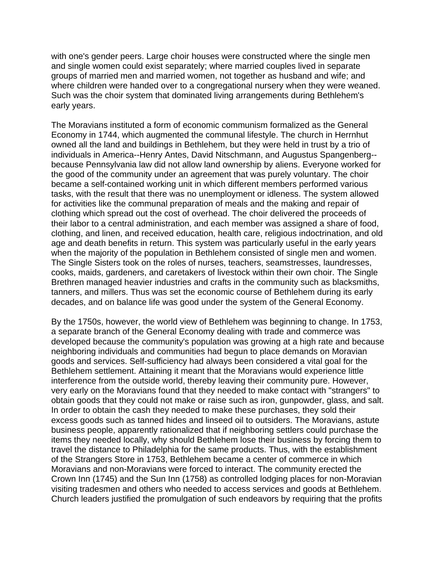with one's gender peers. Large choir houses were constructed where the single men and single women could exist separately; where married couples lived in separate groups of married men and married women, not together as husband and wife; and where children were handed over to a congregational nursery when they were weaned. Such was the choir system that dominated living arrangements during Bethlehem's early years.

The Moravians instituted a form of economic communism formalized as the General Economy in 1744, which augmented the communal lifestyle. The church in Herrnhut owned all the land and buildings in Bethlehem, but they were held in trust by a trio of individuals in America--Henry Antes, David Nitschmann, and Augustus Spangenberg- because Pennsylvania law did not allow land ownership by aliens. Everyone worked for the good of the community under an agreement that was purely voluntary. The choir became a self-contained working unit in which different members performed various tasks, with the result that there was no unemployment or idleness. The system allowed for activities like the communal preparation of meals and the making and repair of clothing which spread out the cost of overhead. The choir delivered the proceeds of their labor to a central administration, and each member was assigned a share of food, clothing, and linen, and received education, health care, religious indoctrination, and old age and death benefits in return. This system was particularly useful in the early years when the majority of the population in Bethlehem consisted of single men and women. The Single Sisters took on the roles of nurses, teachers, seamstresses, laundresses, cooks, maids, gardeners, and caretakers of livestock within their own choir. The Single Brethren managed heavier industries and crafts in the community such as blacksmiths, tanners, and millers. Thus was set the economic course of Bethlehem during its early decades, and on balance life was good under the system of the General Economy.

By the 1750s, however, the world view of Bethlehem was beginning to change. In 1753, a separate branch of the General Economy dealing with trade and commerce was developed because the community's population was growing at a high rate and because neighboring individuals and communities had begun to place demands on Moravian goods and services. Self-sufficiency had always been considered a vital goal for the Bethlehem settlement. Attaining it meant that the Moravians would experience little interference from the outside world, thereby leaving their community pure. However, very early on the Moravians found that they needed to make contact with "strangers" to obtain goods that they could not make or raise such as iron, gunpowder, glass, and salt. In order to obtain the cash they needed to make these purchases, they sold their excess goods such as tanned hides and linseed oil to outsiders. The Moravians, astute business people, apparently rationalized that if neighboring settlers could purchase the items they needed locally, why should Bethlehem lose their business by forcing them to travel the distance to Philadelphia for the same products. Thus, with the establishment of the Strangers Store in 1753, Bethlehem became a center of commerce in which Moravians and non-Moravians were forced to interact. The community erected the Crown Inn (1745) and the Sun Inn (1758) as controlled lodging places for non-Moravian visiting tradesmen and others who needed to access services and goods at Bethlehem. Church leaders justified the promulgation of such endeavors by requiring that the profits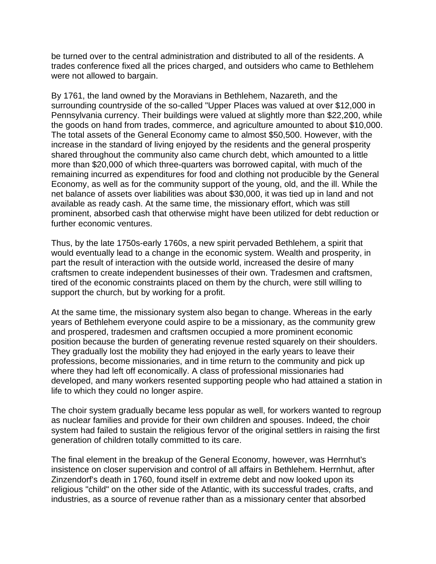be turned over to the central administration and distributed to all of the residents. A trades conference fixed all the prices charged, and outsiders who came to Bethlehem were not allowed to bargain.

By 1761, the land owned by the Moravians in Bethlehem, Nazareth, and the surrounding countryside of the so-called "Upper Places was valued at over \$12,000 in Pennsylvania currency. Their buildings were valued at slightly more than \$22,200, while the goods on hand from trades, commerce, and agriculture amounted to about \$10,000. The total assets of the General Economy came to almost \$50,500. However, with the increase in the standard of living enjoyed by the residents and the general prosperity shared throughout the community also came church debt, which amounted to a little more than \$20,000 of which three-quarters was borrowed capital, with much of the remaining incurred as expenditures for food and clothing not producible by the General Economy, as well as for the community support of the young, old, and the ill. While the net balance of assets over liabilities was about \$30,000, it was tied up in land and not available as ready cash. At the same time, the missionary effort, which was still prominent, absorbed cash that otherwise might have been utilized for debt reduction or further economic ventures.

Thus, by the late 1750s-early 1760s, a new spirit pervaded Bethlehem, a spirit that would eventually lead to a change in the economic system. Wealth and prosperity, in part the result of interaction with the outside world, increased the desire of many craftsmen to create independent businesses of their own. Tradesmen and craftsmen, tired of the economic constraints placed on them by the church, were still willing to support the church, but by working for a profit.

At the same time, the missionary system also began to change. Whereas in the early years of Bethlehem everyone could aspire to be a missionary, as the community grew and prospered, tradesmen and craftsmen occupied a more prominent economic position because the burden of generating revenue rested squarely on their shoulders. They gradually lost the mobility they had enjoyed in the early years to leave their professions, become missionaries, and in time return to the community and pick up where they had left off economically. A class of professional missionaries had developed, and many workers resented supporting people who had attained a station in life to which they could no longer aspire.

The choir system gradually became less popular as well, for workers wanted to regroup as nuclear families and provide for their own children and spouses. Indeed, the choir system had failed to sustain the religious fervor of the original settlers in raising the first generation of children totally committed to its care.

The final element in the breakup of the General Economy, however, was Herrnhut's insistence on closer supervision and control of all affairs in Bethlehem. Herrnhut, after Zinzendorf's death in 1760, found itself in extreme debt and now looked upon its religious "child" on the other side of the Atlantic, with its successful trades, crafts, and industries, as a source of revenue rather than as a missionary center that absorbed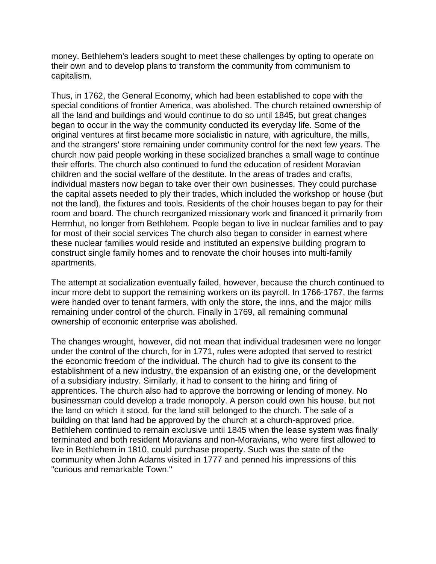money. Bethlehem's leaders sought to meet these challenges by opting to operate on their own and to develop plans to transform the community from communism to capitalism.

Thus, in 1762, the General Economy, which had been established to cope with the special conditions of frontier America, was abolished. The church retained ownership of all the land and buildings and would continue to do so until 1845, but great changes began to occur in the way the community conducted its everyday life. Some of the original ventures at first became more socialistic in nature, with agriculture, the mills, and the strangers' store remaining under community control for the next few years. The church now paid people working in these socialized branches a small wage to continue their efforts. The church also continued to fund the education of resident Moravian children and the social welfare of the destitute. In the areas of trades and crafts, individual masters now began to take over their own businesses. They could purchase the capital assets needed to ply their trades, which included the workshop or house (but not the land), the fixtures and tools. Residents of the choir houses began to pay for their room and board. The church reorganized missionary work and financed it primarily from Herrnhut, no longer from Bethlehem. People began to live in nuclear families and to pay for most of their social services The church also began to consider in earnest where these nuclear families would reside and instituted an expensive building program to construct single family homes and to renovate the choir houses into multi-family apartments.

The attempt at socialization eventually failed, however, because the church continued to incur more debt to support the remaining workers on its payroll. In 1766-1767, the farms were handed over to tenant farmers, with only the store, the inns, and the major mills remaining under control of the church. Finally in 1769, all remaining communal ownership of economic enterprise was abolished.

The changes wrought, however, did not mean that individual tradesmen were no longer under the control of the church, for in 1771, rules were adopted that served to restrict the economic freedom of the individual. The church had to give its consent to the establishment of a new industry, the expansion of an existing one, or the development of a subsidiary industry. Similarly, it had to consent to the hiring and firing of apprentices. The church also had to approve the borrowing or lending of money. No businessman could develop a trade monopoly. A person could own his house, but not the land on which it stood, for the land still belonged to the church. The sale of a building on that land had be approved by the church at a church-approved price. Bethlehem continued to remain exclusive until 1845 when the lease system was finally terminated and both resident Moravians and non-Moravians, who were first allowed to live in Bethlehem in 1810, could purchase property. Such was the state of the community when John Adams visited in 1777 and penned his impressions of this "curious and remarkable Town."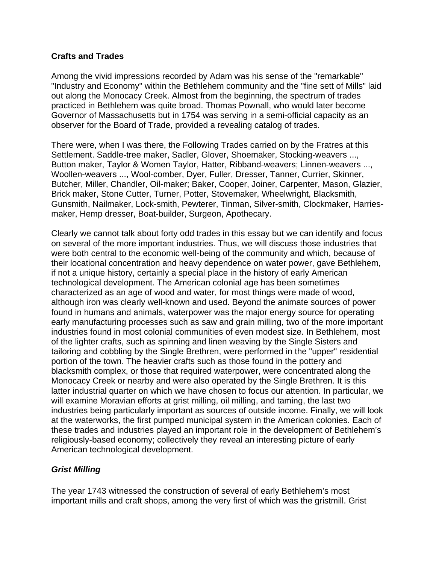### **Crafts and Trades**

Among the vivid impressions recorded by Adam was his sense of the "remarkable" "Industry and Economy" within the Bethlehem community and the "fine sett of Mills" laid out along the Monocacy Creek. Almost from the beginning, the spectrum of trades practiced in Bethlehem was quite broad. Thomas Pownall, who would later become Governor of Massachusetts but in 1754 was serving in a semi-official capacity as an observer for the Board of Trade, provided a revealing catalog of trades.

There were, when I was there, the Following Trades carried on by the Fratres at this Settlement. Saddle-tree maker, Sadler, Glover, Shoemaker, Stocking-weavers ..., Button maker, Taylor & Women Taylor, Hatter, Ribband-weavers; Linnen-weavers ..., Woollen-weavers ..., Wool-comber, Dyer, Fuller, Dresser, Tanner, Currier, Skinner, Butcher, Miller, Chandler, Oil-maker; Baker, Cooper, Joiner, Carpenter, Mason, Glazier, Brick maker, Stone Cutter, Turner, Potter, Stovemaker, Wheelwright, Blacksmith, Gunsmith, Nailmaker, Lock-smith, Pewterer, Tinman, Silver-smith, Clockmaker, Harriesmaker, Hemp dresser, Boat-builder, Surgeon, Apothecary.

Clearly we cannot talk about forty odd trades in this essay but we can identify and focus on several of the more important industries. Thus, we will discuss those industries that were both central to the economic well-being of the community and which, because of their locational concentration and heavy dependence on water power, gave Bethlehem, if not a unique history, certainly a special place in the history of early American technological development. The American colonial age has been sometimes characterized as an age of wood and water, for most things were made of wood, although iron was clearly well-known and used. Beyond the animate sources of power found in humans and animals, waterpower was the major energy source for operating early manufacturing processes such as saw and grain milling, two of the more important industries found in most colonial communities of even modest size. In Bethlehem, most of the lighter crafts, such as spinning and linen weaving by the Single Sisters and tailoring and cobbling by the Single Brethren, were performed in the "upper" residential portion of the town. The heavier crafts such as those found in the pottery and blacksmith complex, or those that required waterpower, were concentrated along the Monocacy Creek or nearby and were also operated by the Single Brethren. It is this latter industrial quarter on which we have chosen to focus our attention. In particular, we will examine Moravian efforts at grist milling, oil milling, and taming, the last two industries being particularly important as sources of outside income. Finally, we will look at the waterworks, the first pumped municipal system in the American colonies. Each of these trades and industries played an important role in the development of Bethlehem's religiously-based economy; collectively they reveal an interesting picture of early American technological development.

# *Grist Milling*

The year 1743 witnessed the construction of several of early Bethlehem's most important mills and craft shops, among the very first of which was the gristmill. Grist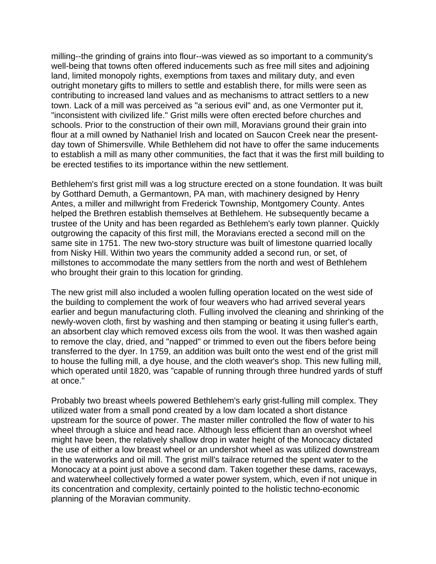milling--the grinding of grains into flour--was viewed as so important to a community's well-being that towns often offered inducements such as free mill sites and adjoining land, limited monopoly rights, exemptions from taxes and military duty, and even outright monetary gifts to millers to settle and establish there, for mills were seen as contributing to increased land values and as mechanisms to attract settlers to a new town. Lack of a mill was perceived as "a serious evil" and, as one Vermonter put it, "inconsistent with civilized life." Grist mills were often erected before churches and schools. Prior to the construction of their own mill, Moravians ground their grain into flour at a mill owned by Nathaniel Irish and located on Saucon Creek near the presentday town of Shimersville. While Bethlehem did not have to offer the same inducements to establish a mill as many other communities, the fact that it was the first mill building to be erected testifies to its importance within the new settlement.

Bethlehem's first grist mill was a log structure erected on a stone foundation. It was built by Gotthard Demuth, a Germantown, PA man, with machinery designed by Henry Antes, a miller and millwright from Frederick Township, Montgomery County. Antes helped the Brethren establish themselves at Bethlehem. He subsequently became a trustee of the Unity and has been regarded as Bethlehem's early town planner. Quickly outgrowing the capacity of this first mill, the Moravians erected a second mill on the same site in 1751. The new two-story structure was built of limestone quarried locally from Nisky Hill. Within two years the community added a second run, or set, of millstones to accommodate the many settlers from the north and west of Bethlehem who brought their grain to this location for grinding.

The new grist mill also included a woolen fulling operation located on the west side of the building to complement the work of four weavers who had arrived several years earlier and begun manufacturing cloth. Fulling involved the cleaning and shrinking of the newly-woven cloth, first by washing and then stamping or beating it using fuller's earth, an absorbent clay which removed excess oils from the wool. It was then washed again to remove the clay, dried, and "napped" or trimmed to even out the fibers before being transferred to the dyer. In 1759, an addition was built onto the west end of the grist mill to house the fulling mill, a dye house, and the cloth weaver's shop. This new fulling mill, which operated until 1820, was "capable of running through three hundred yards of stuff at once."

Probably two breast wheels powered Bethlehem's early grist-fulling mill complex. They utilized water from a small pond created by a low dam located a short distance upstream for the source of power. The master miller controlled the flow of water to his wheel through a sluice and head race. Although less efficient than an overshot wheel might have been, the relatively shallow drop in water height of the Monocacy dictated the use of either a low breast wheel or an undershot wheel as was utilized downstream in the waterworks and oil mill. The grist mill's tailrace returned the spent water to the Monocacy at a point just above a second dam. Taken together these dams, raceways, and waterwheel collectively formed a water power system, which, even if not unique in its concentration and complexity, certainly pointed to the holistic techno-economic planning of the Moravian community.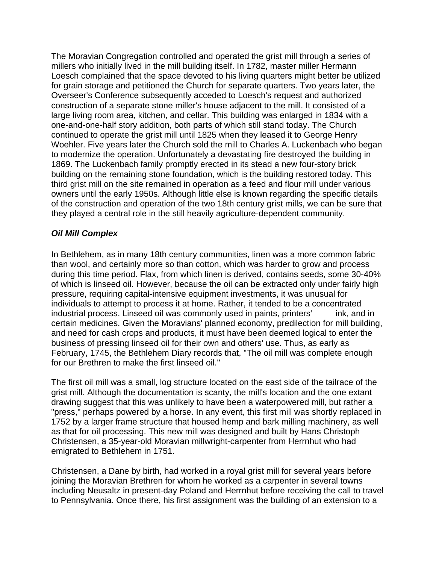The Moravian Congregation controlled and operated the grist mill through a series of millers who initially lived in the mill building itself. In 1782, master miller Hermann Loesch complained that the space devoted to his living quarters might better be utilized for grain storage and petitioned the Church for separate quarters. Two years later, the Overseer's Conference subsequently acceded to Loesch's request and authorized construction of a separate stone miller's house adjacent to the mill. It consisted of a large living room area, kitchen, and cellar. This building was enlarged in 1834 with a one-and-one-half story addition, both parts of which still stand today. The Church continued to operate the grist mill until 1825 when they leased it to George Henry Woehler. Five years later the Church sold the mill to Charles A. Luckenbach who began to modernize the operation. Unfortunately a devastating fire destroyed the building in 1869. The Luckenbach family promptly erected in its stead a new four-story brick building on the remaining stone foundation, which is the building restored today. This third grist mill on the site remained in operation as a feed and flour mill under various owners until the early 1950s. Although little else is known regarding the specific details of the construction and operation of the two 18th century grist mills, we can be sure that they played a central role in the still heavily agriculture-dependent community.

# *Oil Mill Complex*

In Bethlehem, as in many 18th century communities, linen was a more common fabric than wool, and certainly more so than cotton, which was harder to grow and process during this time period. Flax, from which linen is derived, contains seeds, some 30-40% of which is linseed oil. However, because the oil can be extracted only under fairly high pressure, requiring capital-intensive equipment investments, it was unusual for individuals to attempt to process it at home. Rather, it tended to be a concentrated industrial process. Linseed oil was commonly used in paints, printers' ink, and in certain medicines. Given the Moravians' planned economy, predilection for mill building, and need for cash crops and products, it must have been deemed logical to enter the business of pressing linseed oil for their own and others' use. Thus, as early as February, 1745, the Bethlehem Diary records that, "The oil mill was complete enough for our Brethren to make the first linseed oil.''

The first oil mill was a small, log structure located on the east side of the tailrace of the grist mill. Although the documentation is scanty, the mill's location and the one extant drawing suggest that this was unlikely to have been a waterpowered mill, but rather a "press," perhaps powered by a horse. In any event, this first mill was shortly replaced in 1752 by a larger frame structure that housed hemp and bark milling machinery, as well as that for oil processing. This new mill was designed and built by Hans Christoph Christensen, a 35-year-old Moravian millwright-carpenter from Herrnhut who had emigrated to Bethlehem in 1751.

Christensen, a Dane by birth, had worked in a royal grist mill for several years before joining the Moravian Brethren for whom he worked as a carpenter in several towns including Neusaltz in present-day Poland and Herrnhut before receiving the call to travel to Pennsylvania. Once there, his first assignment was the building of an extension to a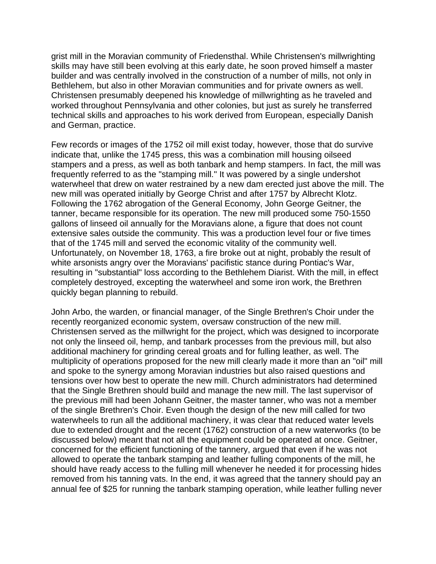grist mill in the Moravian community of Friedensthal. While Christensen's millwrighting skills may have still been evolving at this early date, he soon proved himself a master builder and was centrally involved in the construction of a number of mills, not only in Bethlehem, but also in other Moravian communities and for private owners as well. Christensen presumably deepened his knowledge of millwrighting as he traveled and worked throughout Pennsylvania and other colonies, but just as surely he transferred technical skills and approaches to his work derived from European, especially Danish and German, practice.

Few records or images of the 1752 oil mill exist today, however, those that do survive indicate that, unlike the 1745 press, this was a combination mill housing oilseed stampers and a press, as well as both tanbark and hemp stampers. In fact, the mill was frequently referred to as the "stamping mill.'' It was powered by a single undershot waterwheel that drew on water restrained by a new dam erected just above the mill. The new mill was operated initially by George Christ and after 1757 by Albrecht Klotz. Following the 1762 abrogation of the General Economy, John George Geitner, the tanner, became responsible for its operation. The new mill produced some 750-1550 gallons of linseed oil annually for the Moravians alone, a figure that does not count extensive sales outside the community. This was a production level four or five times that of the 1745 mill and served the economic vitality of the community well. Unfortunately, on November 18, 1763, a fire broke out at night, probably the result of white arsonists angry over the Moravians' pacifistic stance during Pontiac's War, resulting in "substantial" loss according to the Bethlehem Diarist. With the mill, in effect completely destroyed, excepting the waterwheel and some iron work, the Brethren quickly began planning to rebuild.

John Arbo, the warden, or financial manager, of the Single Brethren's Choir under the recently reorganized economic system, oversaw construction of the new mill. Christensen served as the millwright for the project, which was designed to incorporate not only the linseed oil, hemp, and tanbark processes from the previous mill, but also additional machinery for grinding cereal groats and for fulling leather, as well. The multiplicity of operations proposed for the new mill clearly made it more than an "oil" mill and spoke to the synergy among Moravian industries but also raised questions and tensions over how best to operate the new mill. Church administrators had determined that the Single Brethren should build and manage the new mill. The last supervisor of the previous mill had been Johann Geitner, the master tanner, who was not a member of the single Brethren's Choir. Even though the design of the new mill called for two waterwheels to run all the additional machinery, it was clear that reduced water levels due to extended drought and the recent (1762) construction of a new waterworks (to be discussed below) meant that not all the equipment could be operated at once. Geitner, concerned for the efficient functioning of the tannery, argued that even if he was not allowed to operate the tanbark stamping and leather fulling components of the mill, he should have ready access to the fulling mill whenever he needed it for processing hides removed from his tanning vats. In the end, it was agreed that the tannery should pay an annual fee of \$25 for running the tanbark stamping operation, while leather fulling never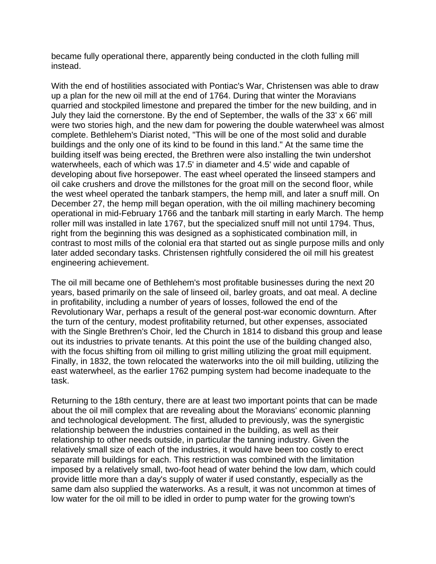became fully operational there, apparently being conducted in the cloth fulling mill instead.

With the end of hostilities associated with Pontiac's War, Christensen was able to draw up a plan for the new oil mill at the end of 1764. During that winter the Moravians quarried and stockpiled limestone and prepared the timber for the new building, and in July they laid the cornerstone. By the end of September, the walls of the 33' x 66' mill were two stories high, and the new dam for powering the double waterwheel was almost complete. Bethlehem's Diarist noted, "This will be one of the most solid and durable buildings and the only one of its kind to be found in this land." At the same time the building itself was being erected, the Brethren were also installing the twin undershot waterwheels, each of which was 17.5' in diameter and 4.5' wide and capable of developing about five horsepower. The east wheel operated the linseed stampers and oil cake crushers and drove the millstones for the groat mill on the second floor, while the west wheel operated the tanbark stampers, the hemp mill, and later a snuff mill. On December 27, the hemp mill began operation, with the oil milling machinery becoming operational in mid-February 1766 and the tanbark mill starting in early March. The hemp roller mill was installed in late 1767, but the specialized snuff mill not until 1794. Thus, right from the beginning this was designed as a sophisticated combination mill, in contrast to most mills of the colonial era that started out as single purpose mills and only later added secondary tasks. Christensen rightfully considered the oil mill his greatest engineering achievement.

The oil mill became one of Bethlehem's most profitable businesses during the next 20 years, based primarily on the sale of linseed oil, barley groats, and oat meal. A decline in profitability, including a number of years of losses, followed the end of the Revolutionary War, perhaps a result of the general post-war economic downturn. After the turn of the century, modest profitability returned, but other expenses, associated with the Single Brethren's Choir, led the Church in 1814 to disband this group and lease out its industries to private tenants. At this point the use of the building changed also, with the focus shifting from oil milling to grist milling utilizing the groat mill equipment. Finally, in 1832, the town relocated the waterworks into the oil mill building, utilizing the east waterwheel, as the earlier 1762 pumping system had become inadequate to the task.

Returning to the 18th century, there are at least two important points that can be made about the oil mill complex that are revealing about the Moravians' economic planning and technological development. The first, alluded to previously, was the synergistic relationship between the industries contained in the building, as well as their relationship to other needs outside, in particular the tanning industry. Given the relatively small size of each of the industries, it would have been too costly to erect separate mill buildings for each. This restriction was combined with the limitation imposed by a relatively small, two-foot head of water behind the low dam, which could provide little more than a day's supply of water if used constantly, especially as the same dam also supplied the waterworks. As a result, it was not uncommon at times of low water for the oil mill to be idled in order to pump water for the growing town's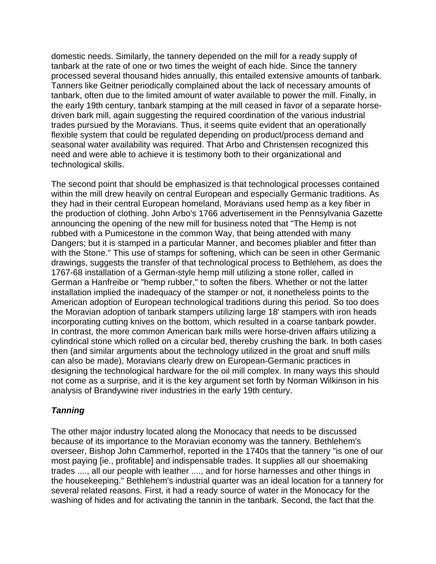domestic needs. Similarly, the tannery depended on the mill for a ready supply of tanbark at the rate of one or two times the weight of each hide. Since the tannery processed several thousand hides annually, this entailed extensive amounts of tanbark. Tanners like Geitner periodically complained about the lack of necessary amounts of tanbark, often due to the limited amount of water available to power the mill. Finally, in the early 19th century, tanbark stamping at the mill ceased in favor of a separate horsedriven bark mill, again suggesting the required coordination of the various industrial trades pursued by the Moravians. Thus, it seems quite evident that an operationally flexible system that could be regulated depending on product/process demand and seasonal water availability was required. That Arbo and Christensen recognized this need and were able to achieve it is testimony both to their organizational and technological skills.

The second point that should be emphasized is that technological processes contained within the mill drew heavily on central European and especially Germanic traditions. As they had in their central European homeland, Moravians used hemp as a key fiber in the production of clothing. John Arbo's 1766 advertisement in the Pennsylvania Gazette announcing the opening of the new mill for business noted that "The Hemp is not rubbed with a Pumicestone in the common Way, that being attended with many Dangers; but it is stamped in a particular Manner, and becomes pliabler and fitter than with the Stone." This use of stamps for softening, which can be seen in other Germanic drawings, suggests the transfer of that technological process to Bethlehem, as does the 1767-68 installation of a German-style hemp mill utilizing a stone roller, called in German a Hanfreibe or "hemp rubber," to soften the fibers. Whether or not the latter installation implied the inadequacy of the stamper or not, it nonetheless points to the American adoption of European technological traditions during this period. So too does the Moravian adoption of tanbark stampers utilizing large 18' stampers with iron heads incorporating cutting knives on the bottom, which resulted in a coarse tanbark powder. In contrast, the more common American bark mills were horse-driven affairs utilizing a cylindrical stone which rolled on a circular bed, thereby crushing the bark. In both cases then (and similar arguments about the technology utilized in the groat and snuff mills can also be made), Moravians clearly drew on European-Germanic practices in designing the technological hardware for the oil mill complex. In many ways this should not come as a surprise, and it is the key argument set forth by Norman Wilkinson in his analysis of Brandywine river industries in the early 19th century.

# *Tanning*

The other major industry located along the Monocacy that needs to be discussed because of its importance to the Moravian economy was the tannery. Bethlehem's overseer, Bishop John Cammerhof, reported in the 1740s that the tannery "is one of our most paying [ie., profitable] and indispensable trades. It supplies all our shoemaking trades ...., all our people with leather ...., and for horse harnesses and other things in the housekeeping." Bethlehem's industrial quarter was an ideal location for a tannery for several related reasons. First, it had a ready source of water in the Monocacy for the washing of hides and for activating the tannin in the tanbark. Second, the fact that the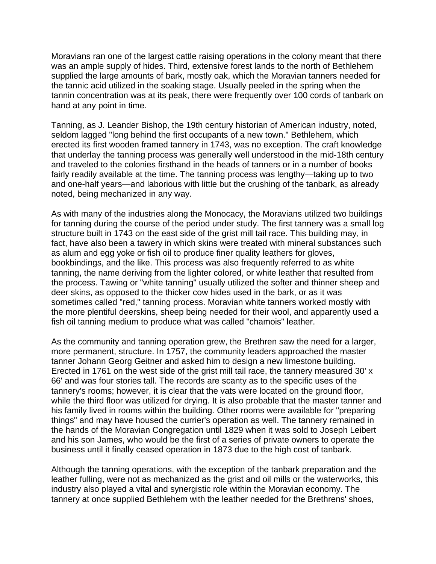Moravians ran one of the largest cattle raising operations in the colony meant that there was an ample supply of hides. Third, extensive forest lands to the north of Bethlehem supplied the large amounts of bark, mostly oak, which the Moravian tanners needed for the tannic acid utilized in the soaking stage. Usually peeled in the spring when the tannin concentration was at its peak, there were frequently over 100 cords of tanbark on hand at any point in time.

Tanning, as J. Leander Bishop, the 19th century historian of American industry, noted, seldom lagged "long behind the first occupants of a new town." Bethlehem, which erected its first wooden framed tannery in 1743, was no exception. The craft knowledge that underlay the tanning process was generally well understood in the mid-18th century and traveled to the colonies firsthand in the heads of tanners or in a number of books fairly readily available at the time. The tanning process was lengthy—taking up to two and one-half years—and laborious with little but the crushing of the tanbark, as already noted, being mechanized in any way.

As with many of the industries along the Monocacy, the Moravians utilized two buildings for tanning during the course of the period under study. The first tannery was a small log structure built in 1743 on the east side of the grist mill tail race. This building may, in fact, have also been a tawery in which skins were treated with mineral substances such as alum and egg yoke or fish oil to produce finer quality leathers for gloves, bookbindings, and the like. This process was also frequently referred to as white tanning, the name deriving from the lighter colored, or white leather that resulted from the process. Tawing or "white tanning" usually utilized the softer and thinner sheep and deer skins, as opposed to the thicker cow hides used in the bark, or as it was sometimes called "red," tanning process. Moravian white tanners worked mostly with the more plentiful deerskins, sheep being needed for their wool, and apparently used a fish oil tanning medium to produce what was called "chamois" leather.

As the community and tanning operation grew, the Brethren saw the need for a larger, more permanent, structure. In 1757, the community leaders approached the master tanner Johann Georg Geitner and asked him to design a new limestone building. Erected in 1761 on the west side of the grist mill tail race, the tannery measured 30' x 66' and was four stories tall. The records are scanty as to the specific uses of the tannery's rooms; however, it is clear that the vats were located on the ground floor, while the third floor was utilized for drying. It is also probable that the master tanner and his family lived in rooms within the building. Other rooms were available for "preparing things" and may have housed the currier's operation as well. The tannery remained in the hands of the Moravian Congregation until 1829 when it was sold to Joseph Leibert and his son James, who would be the first of a series of private owners to operate the business until it finally ceased operation in 1873 due to the high cost of tanbark.

Although the tanning operations, with the exception of the tanbark preparation and the leather fulling, were not as mechanized as the grist and oil mills or the waterworks, this industry also played a vital and synergistic role within the Moravian economy. The tannery at once supplied Bethlehem with the leather needed for the Brethrens' shoes,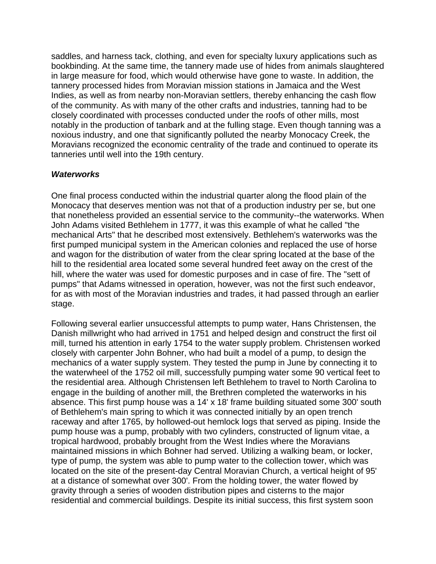saddles, and harness tack, clothing, and even for specialty luxury applications such as bookbinding. At the same time, the tannery made use of hides from animals slaughtered in large measure for food, which would otherwise have gone to waste. In addition, the tannery processed hides from Moravian mission stations in Jamaica and the West Indies, as well as from nearby non-Moravian settlers, thereby enhancing the cash flow of the community. As with many of the other crafts and industries, tanning had to be closely coordinated with processes conducted under the roofs of other mills, most notably in the production of tanbark and at the fulling stage. Even though tanning was a noxious industry, and one that significantly polluted the nearby Monocacy Creek, the Moravians recognized the economic centrality of the trade and continued to operate its tanneries until well into the 19th century.

### *Waterworks*

One final process conducted within the industrial quarter along the flood plain of the Monocacy that deserves mention was not that of a production industry per se, but one that nonetheless provided an essential service to the community--the waterworks. When John Adams visited Bethlehem in 1777, it was this example of what he called "the mechanical Arts" that he described most extensively. Bethlehem's waterworks was the first pumped municipal system in the American colonies and replaced the use of horse and wagon for the distribution of water from the clear spring located at the base of the hill to the residential area located some several hundred feet away on the crest of the hill, where the water was used for domestic purposes and in case of fire. The "sett of pumps" that Adams witnessed in operation, however, was not the first such endeavor, for as with most of the Moravian industries and trades, it had passed through an earlier stage.

Following several earlier unsuccessful attempts to pump water, Hans Christensen, the Danish millwright who had arrived in 1751 and helped design and construct the first oil mill, turned his attention in early 1754 to the water supply problem. Christensen worked closely with carpenter John Bohner, who had built a model of a pump, to design the mechanics of a water supply system. They tested the pump in June by connecting it to the waterwheel of the 1752 oil mill, successfully pumping water some 90 vertical feet to the residential area. Although Christensen left Bethlehem to travel to North Carolina to engage in the building of another mill, the Brethren completed the waterworks in his absence. This first pump house was a 14' x 18' frame building situated some 300' south of Bethlehem's main spring to which it was connected initially by an open trench raceway and after 1765, by hollowed-out hemlock logs that served as piping. Inside the pump house was a pump, probably with two cylinders, constructed of lignum vitae, a tropical hardwood, probably brought from the West Indies where the Moravians maintained missions in which Bohner had served. Utilizing a walking beam, or locker, type of pump, the system was able to pump water to the collection tower, which was located on the site of the present-day Central Moravian Church, a vertical height of 95' at a distance of somewhat over 300'. From the holding tower, the water flowed by gravity through a series of wooden distribution pipes and cisterns to the major residential and commercial buildings. Despite its initial success, this first system soon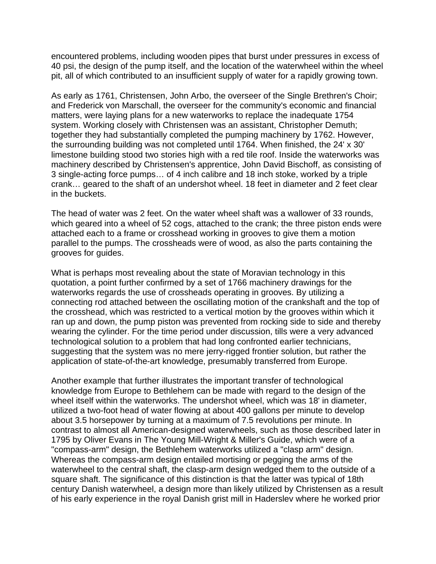encountered problems, including wooden pipes that burst under pressures in excess of 40 psi, the design of the pump itself, and the location of the waterwheel within the wheel pit, all of which contributed to an insufficient supply of water for a rapidly growing town.

As early as 1761, Christensen, John Arbo, the overseer of the Single Brethren's Choir; and Frederick von Marschall, the overseer for the community's economic and financial matters, were laying plans for a new waterworks to replace the inadequate 1754 system. Working closely with Christensen was an assistant, Christopher Demuth; together they had substantially completed the pumping machinery by 1762. However, the surrounding building was not completed until 1764. When finished, the 24' x 30' limestone building stood two stories high with a red tile roof. Inside the waterworks was machinery described by Christensen's apprentice, John David Bischoff, as consisting of 3 single-acting force pumps… of 4 inch calibre and 18 inch stoke, worked by a triple crank… geared to the shaft of an undershot wheel. 18 feet in diameter and 2 feet clear in the buckets.

The head of water was 2 feet. On the water wheel shaft was a wallower of 33 rounds, which geared into a wheel of 52 cogs, attached to the crank; the three piston ends were attached each to a frame or crosshead working in grooves to give them a motion parallel to the pumps. The crossheads were of wood, as also the parts containing the grooves for guides.

What is perhaps most revealing about the state of Moravian technology in this quotation, a point further confirmed by a set of 1766 machinery drawings for the waterworks regards the use of crossheads operating in grooves. By utilizing a connecting rod attached between the oscillating motion of the crankshaft and the top of the crosshead, which was restricted to a vertical motion by the grooves within which it ran up and down, the pump piston was prevented from rocking side to side and thereby wearing the cylinder. For the time period under discussion, tills were a very advanced technological solution to a problem that had long confronted earlier technicians, suggesting that the system was no mere jerry-rigged frontier solution, but rather the application of state-of-the-art knowledge, presumably transferred from Europe.

Another example that further illustrates the important transfer of technological knowledge from Europe to Bethlehem can be made with regard to the design of the wheel itself within the waterworks. The undershot wheel, which was 18' in diameter, utilized a two-foot head of water flowing at about 400 gallons per minute to develop about 3.5 horsepower by turning at a maximum of 7.5 revolutions per minute. In contrast to almost all American-designed waterwheels, such as those described later in 1795 by Oliver Evans in The Young Mill-Wright & Miller's Guide, which were of a "compass-arm" design, the Bethlehem waterworks utilized a "clasp arm" design. Whereas the compass-arm design entailed mortising or pegging the arms of the waterwheel to the central shaft, the clasp-arm design wedged them to the outside of a square shaft. The significance of this distinction is that the latter was typical of 18th century Danish waterwheel, a design more than likely utilized by Christensen as a result of his early experience in the royal Danish grist mill in Haderslev where he worked prior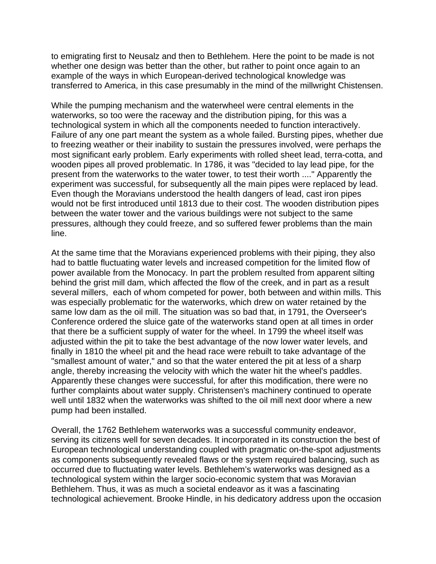to emigrating first to Neusalz and then to Bethlehem. Here the point to be made is not whether one design was better than the other, but rather to point once again to an example of the ways in which European-derived technological knowledge was transferred to America, in this case presumably in the mind of the millwright Chistensen.

While the pumping mechanism and the waterwheel were central elements in the waterworks, so too were the raceway and the distribution piping, for this was a technological system in which all the components needed to function interactively. Failure of any one part meant the system as a whole failed. Bursting pipes, whether due to freezing weather or their inability to sustain the pressures involved, were perhaps the most significant early problem. Early experiments with rolled sheet lead, terra-cotta, and wooden pipes all proved problematic. In 1786, it was "decided to lay lead pipe, for the present from the waterworks to the water tower, to test their worth ...." Apparently the experiment was successful, for subsequently all the main pipes were replaced by lead. Even though the Moravians understood the health dangers of lead, cast iron pipes would not be first introduced until 1813 due to their cost. The wooden distribution pipes between the water tower and the various buildings were not subject to the same pressures, although they could freeze, and so suffered fewer problems than the main line.

At the same time that the Moravians experienced problems with their piping, they also had to battle fluctuating water levels and increased competition for the limited flow of power available from the Monocacy. In part the problem resulted from apparent silting behind the grist mill dam, which affected the flow of the creek, and in part as a result several millers, each of whom competed for power, both between and within mills. This was especially problematic for the waterworks, which drew on water retained by the same low dam as the oil mill. The situation was so bad that, in 1791, the Overseer's Conference ordered the sluice gate of the waterworks stand open at all times in order that there be a sufficient supply of water for the wheel. In 1799 the wheel itself was adjusted within the pit to take the best advantage of the now lower water levels, and finally in 1810 the wheel pit and the head race were rebuilt to take advantage of the "smallest amount of water," and so that the water entered the pit at less of a sharp angle, thereby increasing the velocity with which the water hit the wheel's paddles. Apparently these changes were successful, for after this modification, there were no further complaints about water supply. Christensen's machinery continued to operate well until 1832 when the waterworks was shifted to the oil mill next door where a new pump had been installed.

Overall, the 1762 Bethlehem waterworks was a successful community endeavor, serving its citizens well for seven decades. It incorporated in its construction the best of European technological understanding coupled with pragmatic on-the-spot adjustments as components subsequently revealed flaws or the system required balancing, such as occurred due to fluctuating water levels. Bethlehem's waterworks was designed as a technological system within the larger socio-economic system that was Moravian Bethlehem. Thus, it was as much a societal endeavor as it was a fascinating technological achievement. Brooke Hindle, in his dedicatory address upon the occasion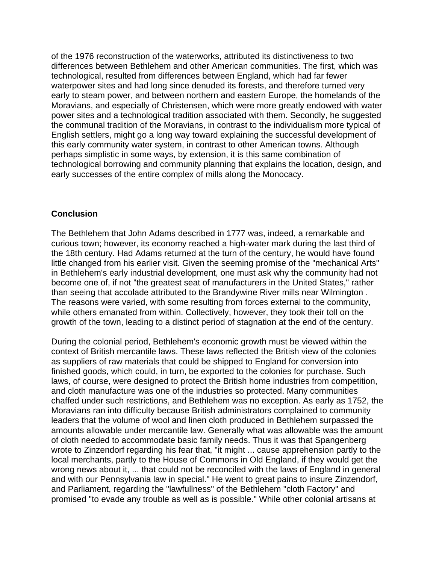of the 1976 reconstruction of the waterworks, attributed its distinctiveness to two differences between Bethlehem and other American communities. The first, which was technological, resulted from differences between England, which had far fewer waterpower sites and had long since denuded its forests, and therefore turned very early to steam power, and between northern and eastern Europe, the homelands of the Moravians, and especially of Christensen, which were more greatly endowed with water power sites and a technological tradition associated with them. Secondly, he suggested the communal tradition of the Moravians, in contrast to the individualism more typical of English settlers, might go a long way toward explaining the successful development of this early community water system, in contrast to other American towns. Although perhaps simplistic in some ways, by extension, it is this same combination of technological borrowing and community planning that explains the location, design, and early successes of the entire complex of mills along the Monocacy.

#### **Conclusion**

The Bethlehem that John Adams described in 1777 was, indeed, a remarkable and curious town; however, its economy reached a high-water mark during the last third of the 18th century. Had Adams returned at the turn of the century, he would have found little changed from his earlier visit. Given the seeming promise of the "mechanical Arts" in Bethlehem's early industrial development, one must ask why the community had not become one of, if not "the greatest seat of manufacturers in the United States," rather than seeing that accolade attributed to the Brandywine River mills near Wilmington . The reasons were varied, with some resulting from forces external to the community, while others emanated from within. Collectively, however, they took their toll on the growth of the town, leading to a distinct period of stagnation at the end of the century.

During the colonial period, Bethlehem's economic growth must be viewed within the context of British mercantile laws. These laws reflected the British view of the colonies as suppliers of raw materials that could be shipped to England for conversion into finished goods, which could, in turn, be exported to the colonies for purchase. Such laws, of course, were designed to protect the British home industries from competition, and cloth manufacture was one of the industries so protected. Many communities chaffed under such restrictions, and Bethlehem was no exception. As early as 1752, the Moravians ran into difficulty because British administrators complained to community leaders that the volume of wool and linen cloth produced in Bethlehem surpassed the amounts allowable under mercantile law. Generally what was allowable was the amount of cloth needed to accommodate basic family needs. Thus it was that Spangenberg wrote to Zinzendorf regarding his fear that, "it might ... cause apprehension partly to the local merchants, partly to the House of Commons in Old England, if they would get the wrong news about it, ... that could not be reconciled with the laws of England in general and with our Pennsylvania law in special." He went to great pains to insure Zinzendorf, and Parliament, regarding the "lawfullness" of the Bethlehem "cloth Factory" and promised "to evade any trouble as well as is possible." While other colonial artisans at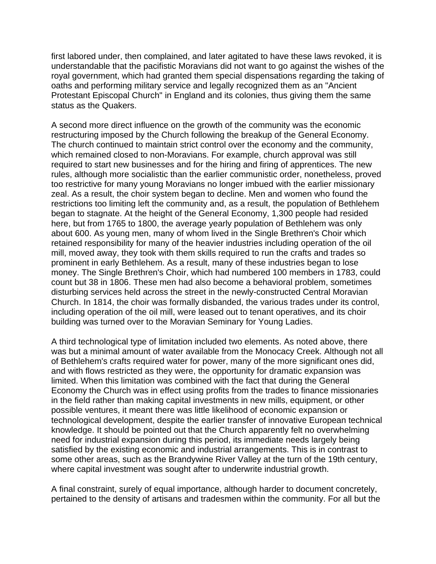first labored under, then complained, and later agitated to have these laws revoked, it is understandable that the pacifistic Moravians did not want to go against the wishes of the royal government, which had granted them special dispensations regarding the taking of oaths and performing military service and legally recognized them as an "Ancient Protestant Episcopal Church" in England and its colonies, thus giving them the same status as the Quakers.

A second more direct influence on the growth of the community was the economic restructuring imposed by the Church following the breakup of the General Economy. The church continued to maintain strict control over the economy and the community, which remained closed to non-Moravians. For example, church approval was still required to start new businesses and for the hiring and firing of apprentices. The new rules, although more socialistic than the earlier communistic order, nonetheless, proved too restrictive for many young Moravians no longer imbued with the earlier missionary zeal. As a result, the choir system began to decline. Men and women who found the restrictions too limiting left the community and, as a result, the population of Bethlehem began to stagnate. At the height of the General Economy, 1,300 people had resided here, but from 1765 to 1800, the average yearly population of Bethlehem was only about 600. As young men, many of whom lived in the Single Brethren's Choir which retained responsibility for many of the heavier industries including operation of the oil mill, moved away, they took with them skills required to run the crafts and trades so prominent in early Bethlehem. As a result, many of these industries began to lose money. The Single Brethren's Choir, which had numbered 100 members in 1783, could count but 38 in 1806. These men had also become a behavioral problem, sometimes disturbing services held across the street in the newly-constructed Central Moravian Church. In 1814, the choir was formally disbanded, the various trades under its control, including operation of the oil mill, were leased out to tenant operatives, and its choir building was turned over to the Moravian Seminary for Young Ladies.

A third technological type of limitation included two elements. As noted above, there was but a minimal amount of water available from the Monocacy Creek. Although not all of Bethlehem's crafts required water for power, many of the more significant ones did, and with flows restricted as they were, the opportunity for dramatic expansion was limited. When this limitation was combined with the fact that during the General Economy the Church was in effect using profits from the trades to finance missionaries in the field rather than making capital investments in new mills, equipment, or other possible ventures, it meant there was little likelihood of economic expansion or technological development, despite the earlier transfer of innovative European technical knowledge. It should be pointed out that the Church apparently felt no overwhelming need for industrial expansion during this period, its immediate needs largely being satisfied by the existing economic and industrial arrangements. This is in contrast to some other areas, such as the Brandywine River Valley at the turn of the 19th century, where capital investment was sought after to underwrite industrial growth.

A final constraint, surely of equal importance, although harder to document concretely, pertained to the density of artisans and tradesmen within the community. For all but the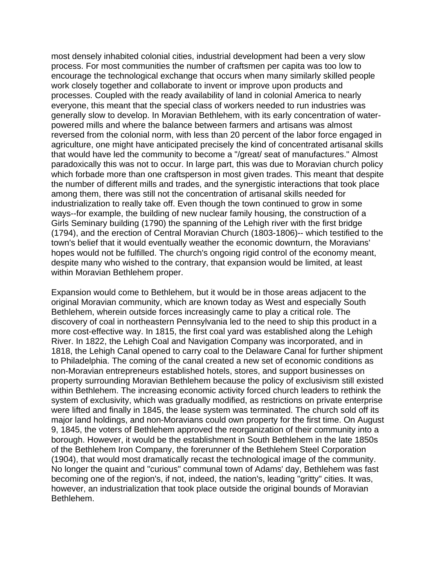most densely inhabited colonial cities, industrial development had been a very slow process. For most communities the number of craftsmen per capita was too low to encourage the technological exchange that occurs when many similarly skilled people work closely together and collaborate to invent or improve upon products and processes. Coupled with the ready availability of land in colonial America to nearly everyone, this meant that the special class of workers needed to run industries was generally slow to develop. In Moravian Bethlehem, with its early concentration of waterpowered mills and where the balance between farmers and artisans was almost reversed from the colonial norm, with less than 20 percent of the labor force engaged in agriculture, one might have anticipated precisely the kind of concentrated artisanal skills that would have led the community to become a "/great/ seat of manufactures." Almost paradoxically this was not to occur. In large part, this was due to Moravian church policy which forbade more than one craftsperson in most given trades. This meant that despite the number of different mills and trades, and the synergistic interactions that took place among them, there was still not the concentration of artisanal skills needed for industrialization to really take off. Even though the town continued to grow in some ways--for example, the building of new nuclear family housing, the construction of a Girls Seminary building (1790) the spanning of the Lehigh river with the first bridge (1794), and the erection of Central Moravian Church (1803-1806)-- which testified to the town's belief that it would eventually weather the economic downturn, the Moravians' hopes would not be fulfilled. The church's ongoing rigid control of the economy meant, despite many who wished to the contrary, that expansion would be limited, at least within Moravian Bethlehem proper.

Expansion would come to Bethlehem, but it would be in those areas adjacent to the original Moravian community, which are known today as West and especially South Bethlehem, wherein outside forces increasingly came to play a critical role. The discovery of coal in northeastern Pennsylvania led to the need to ship this product in a more cost-effective way. In 1815, the first coal yard was established along the Lehigh River. In 1822, the Lehigh Coal and Navigation Company was incorporated, and in 1818, the Lehigh Canal opened to carry coal to the Delaware Canal for further shipment to Philadelphia. The coming of the canal created a new set of economic conditions as non-Moravian entrepreneurs established hotels, stores, and support businesses on property surrounding Moravian Bethlehem because the policy of exclusivism still existed within Bethlehem. The increasing economic activity forced church leaders to rethink the system of exclusivity, which was gradually modified, as restrictions on private enterprise were lifted and finally in 1845, the lease system was terminated. The church sold off its major land holdings, and non-Moravians could own property for the first time. On August 9, 1845, the voters of Bethlehem approved the reorganization of their community into a borough. However, it would be the establishment in South Bethlehem in the late 1850s of the Bethlehem Iron Company, the forerunner of the Bethlehem Steel Corporation (1904), that would most dramatically recast the technological image of the community. No longer the quaint and "curious" communal town of Adams' day, Bethlehem was fast becoming one of the region's, if not, indeed, the nation's, leading "gritty" cities. It was, however, an industrialization that took place outside the original bounds of Moravian Bethlehem.